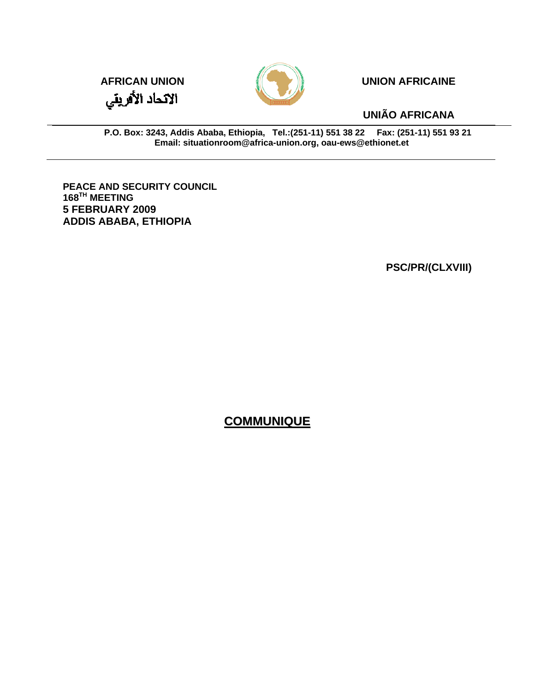



**UNIÃO AFRICANA** 

**P.O. Box: 3243, Addis Ababa, Ethiopia, Tel.:(251-11) 551 38 22 Fax: (251-11) 551 93 21 Email: situationroom@africa-union.org, oau-ews@ethionet.et**

**PEACE AND SECURITY COUNCIL 168TH MEETING 5 FEBRUARY 2009 ADDIS ABABA, ETHIOPIA** 

**PSC/PR/(CLXVIII)**

## **COMMUNIQUE**